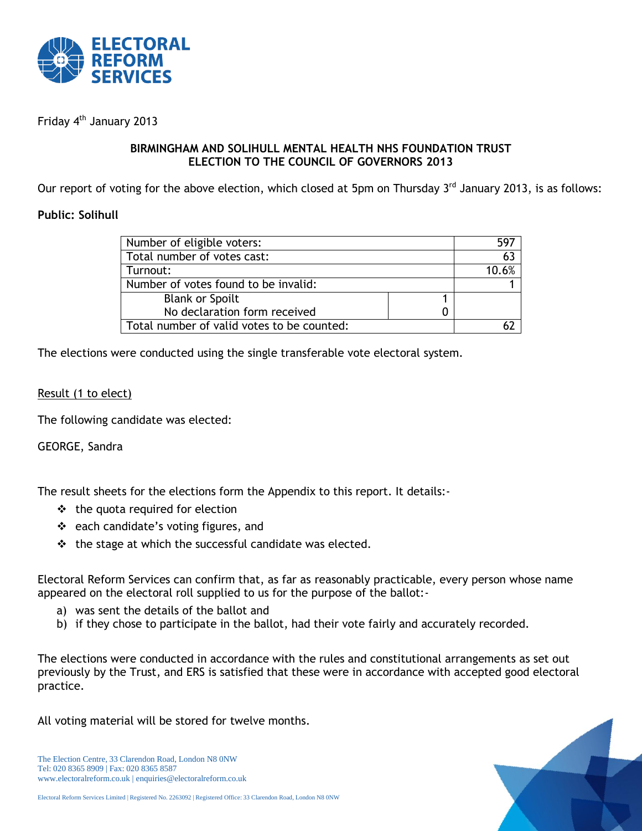

Friday 4<sup>th</sup> January 2013

## **BIRMINGHAM AND SOLIHULL MENTAL HEALTH NHS FOUNDATION TRUST ELECTION TO THE COUNCIL OF GOVERNORS 2013**

Our report of voting for the above election, which closed at 5pm on Thursday 3<sup>rd</sup> January 2013, is as follows:

## **Public: Solihull**

| Number of eligible voters:                 | 597   |
|--------------------------------------------|-------|
| Total number of votes cast:                | 63    |
| Turnout:                                   | 10.6% |
| Number of votes found to be invalid:       |       |
| <b>Blank or Spoilt</b>                     |       |
| No declaration form received               |       |
| Total number of valid votes to be counted: |       |

The elections were conducted using the single transferable vote electoral system.

## Result (1 to elect)

The following candidate was elected:

GEORGE, Sandra

The result sheets for the elections form the Appendix to this report. It details:-

- $\div$  the quota required for election
- ❖ each candidate's voting figures, and
- $\cdot \cdot$  the stage at which the successful candidate was elected.

Electoral Reform Services can confirm that, as far as reasonably practicable, every person whose name appeared on the electoral roll supplied to us for the purpose of the ballot:-

- a) was sent the details of the ballot and
- b) if they chose to participate in the ballot, had their vote fairly and accurately recorded.

The elections were conducted in accordance with the rules and constitutional arrangements as set out previously by the Trust, and ERS is satisfied that these were in accordance with accepted good electoral practice.

All voting material will be stored for twelve months.

The Election Centre, 33 Clarendon Road, London N8 0NW Tel: 020 8365 8909 | Fax: 020 8365 8587 www.electoralreform.co.uk | enquiries@electoralreform.co.uk